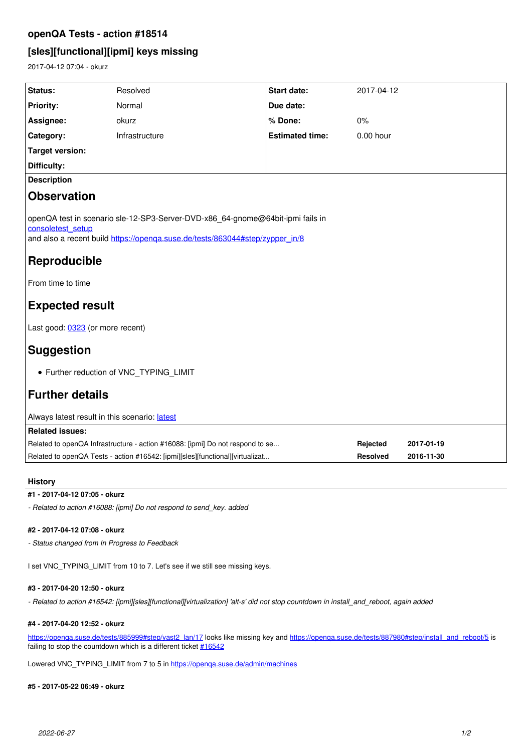## **openQA Tests - action #18514**

# **[sles][functional][ipmi] keys missing**

2017-04-12 07:04 - okurz

| Status:                                                                                                                                                                             | Resolved       | <b>Start date:</b>     | 2017-04-12                  |            |
|-------------------------------------------------------------------------------------------------------------------------------------------------------------------------------------|----------------|------------------------|-----------------------------|------------|
| <b>Priority:</b>                                                                                                                                                                    | Normal         | Due date:              |                             |            |
| Assignee:                                                                                                                                                                           | okurz          | % Done:                | 0%                          |            |
| Category:                                                                                                                                                                           | Infrastructure | <b>Estimated time:</b> | 0.00 hour                   |            |
| <b>Target version:</b>                                                                                                                                                              |                |                        |                             |            |
| <b>Difficulty:</b>                                                                                                                                                                  |                |                        |                             |            |
| <b>Description</b>                                                                                                                                                                  |                |                        |                             |            |
| <b>Observation</b>                                                                                                                                                                  |                |                        |                             |            |
| openQA test in scenario sle-12-SP3-Server-DVD-x86 64-gnome@64bit-ipmi fails in<br>consoletest setup<br>and also a recent build https://openga.suse.de/tests/863044#step/zypper_in/8 |                |                        |                             |            |
| Reproducible                                                                                                                                                                        |                |                        |                             |            |
| From time to time                                                                                                                                                                   |                |                        |                             |            |
| <b>Expected result</b>                                                                                                                                                              |                |                        |                             |            |
| Last good: 0323 (or more recent)                                                                                                                                                    |                |                        |                             |            |
| <b>Suggestion</b>                                                                                                                                                                   |                |                        |                             |            |
| • Further reduction of VNC TYPING LIMIT                                                                                                                                             |                |                        |                             |            |
| <b>Further details</b>                                                                                                                                                              |                |                        |                             |            |
| Always latest result in this scenario: latest                                                                                                                                       |                |                        |                             |            |
| <b>Related issues:</b>                                                                                                                                                              |                |                        |                             |            |
| Related to openQA Infrastructure - action #16088: [ipmi] Do not respond to se                                                                                                       |                |                        | Rejected<br><b>Resolved</b> | 2017-01-19 |
| Related to openQA Tests - action #16542: [ipmi][sles][functional][virtualizat                                                                                                       |                |                        |                             | 2016-11-30 |

#### **History**

### **#1 - 2017-04-12 07:05 - okurz**

*- Related to action #16088: [ipmi] Do not respond to send\_key. added*

#### **#2 - 2017-04-12 07:08 - okurz**

*- Status changed from In Progress to Feedback*

I set VNC\_TYPING\_LIMIT from 10 to 7. Let's see if we still see missing keys.

#### **#3 - 2017-04-20 12:50 - okurz**

*- Related to action #16542: [ipmi][sles][functional][virtualization] 'alt-s' did not stop countdown in install\_and\_reboot, again added*

#### **#4 - 2017-04-20 12:52 - okurz**

[https://openqa.suse.de/tests/885999#step/yast2\\_lan/17](https://openqa.suse.de/tests/885999#step/yast2_lan/17) looks like missing key and [https://openqa.suse.de/tests/887980#step/install\\_and\\_reboot/5](https://openqa.suse.de/tests/887980#step/install_and_reboot/5) is failing to stop the countdown which is a different ticket [#16542](https://progress.opensuse.org/issues/16542)

Lowered VNC\_TYPING\_LIMIT from 7 to 5 in<https://openqa.suse.de/admin/machines>

#### **#5 - 2017-05-22 06:49 - okurz**